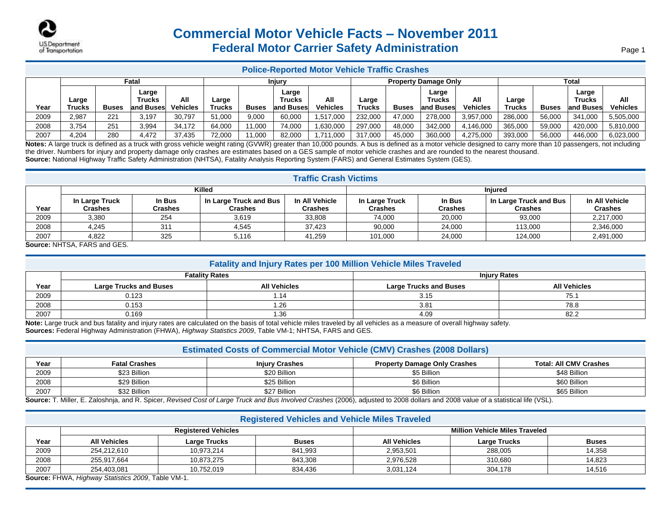

## **Commercial Motor Vehicle Facts – November 2011 Federal Motor Carrier Safety Administration**

### **Police-Reported Motor Vehicle Traffic Crashes**

|      |                 |              | Fatal                         |                        |                 |              | Injury                       |                        |                        |              | <b>Property Damage Only</b>         |                 |                        |              | <b>Total</b>                 |                        |
|------|-----------------|--------------|-------------------------------|------------------------|-----------------|--------------|------------------------------|------------------------|------------------------|--------------|-------------------------------------|-----------------|------------------------|--------------|------------------------------|------------------------|
| Year | angle<br>Trucks | <b>Buses</b> | Large<br>Trucks<br>land Buses | All<br><b>Vehicles</b> | Large<br>Trucks | <b>Buses</b> | Large<br>Trucks<br>and Buses | All<br><b>Vehicles</b> | Large<br><b>Trucks</b> | <b>Buses</b> | Large<br><b>Trucks</b><br>and Buses | All<br>Vehicles | Large<br><b>Trucks</b> | <b>Buses</b> | Large<br>Trucks<br>and Buses | All<br><b>Vehicles</b> |
| 2009 | 2,987           | 221          | 3.197                         | 30.797                 | 51.000          | 9.000        | 60,000                       | 1.517.000              | 232,000                | 47.000       | 278,000                             | 3,957,000       | 286.000                | 56,000       | 341.000                      | 5,505,000              |
|      |                 |              |                               |                        |                 |              |                              |                        |                        |              |                                     |                 |                        |              |                              |                        |
| 2008 | 3,754           | 251          | 3,994                         | 34.172                 | 64.000          | 11,000       | 74,000                       | .630,000               | 297.000                | 48,000       | 342.000                             | 1,146,000       | 365,000                | 59.000       | 420,000                      | 5.810.000              |
| 2007 | 4.204           | 280          | 4.472                         | 37,435                 | 72,000          | 11,000       | 82,000                       | 1.711.000              | 317,000                | 45.000       | 360,000                             | 4,275,000       | 393,000                | 56,000       | 446.000                      | 6,023,000              |

Notes: A large truck is defined as a truck with gross vehicle weight rating (GVWR) greater than 10,000 pounds. A bus is defined as a motor vehicle designed to carry more than 10 passengers, not including the driver. Numbers for injury and property damage only crashes are estimates based on a GES sample of motor vehicle crashes and are rounded to the nearest thousand. **Source:** National Highway Traffic Safety Administration (NHTSA), Fatality Analysis Reporting System (FARS) and General Estimates System (GES).

### **Traffic Crash Victims**

|      | ------------------------         |                   |                                   |                                  |                                  |                   |                                          |                                  |  |
|------|----------------------------------|-------------------|-----------------------------------|----------------------------------|----------------------------------|-------------------|------------------------------------------|----------------------------------|--|
|      | Killed                           |                   |                                   |                                  | <b>Injured</b>                   |                   |                                          |                                  |  |
| Year | In Large Truck<br><b>Crashes</b> | In Bus<br>Crashes | In Large Truck and Bus<br>Crashes | In All Vehicle<br><b>Crashes</b> | In Large Truck<br><b>Crashes</b> | In Bus<br>Crashes | In Large Truck and Bus<br><b>Crashes</b> | In All Vehicle<br><b>Crashes</b> |  |
| 2009 | 3,380                            | 254               | 3,619                             | 33,808                           | 74,000                           | 20,000            | 93,000                                   | 2,217,000                        |  |
| 2008 | 4,245                            | 31'               | 4,545                             | 37.423                           | 90,000                           | 24,000            | 113.000                                  | 2,346,000                        |  |
| 2007 | 4,822                            | 325               | 5,116                             | 41,259                           | 101.000                          | 24,000            | 124,000                                  | 2,491,000                        |  |

**Source:** NHTSA, FARS and GES.

### **Fatality and Injury Rates per 100 Million Vehicle Miles Traveled**

|      |                               | <b>Fatality Rates</b> | <b>Injury Rates</b>           |                     |  |
|------|-------------------------------|-----------------------|-------------------------------|---------------------|--|
| Year | <b>Large Trucks and Buses</b> | <b>All Vehicles</b>   | <b>Large Trucks and Buses</b> | <b>All Vehicles</b> |  |
| 2009 | 0.123                         | - 14                  | 3.15                          | 75.1                |  |
| 2008 | 0.153                         | .26                   | 3.81                          | 78.8                |  |
| 2007 | 0.169                         | 1.36                  | 4.09                          | 82.2                |  |

**Note:** Large truck and bus fatality and injury rates are calculated on the basis of total vehicle miles traveled by all vehicles as a measure of overall highway safety. **Sources:** Federal Highway Administration (FHWA), *Highway Statistics 2009*, Table VM-1; NHTSA, FARS and GES.

| <b>Estimated Costs of Commercial Motor Vehicle (CMV) Crashes (2008 Dollars)</b> |                      |                       |                                                                                                                                                                                                                                              |                               |  |  |  |
|---------------------------------------------------------------------------------|----------------------|-----------------------|----------------------------------------------------------------------------------------------------------------------------------------------------------------------------------------------------------------------------------------------|-------------------------------|--|--|--|
| Year                                                                            | <b>Fatal Crashes</b> | <b>Injury Crashes</b> | <b>Property Damage Only Crashes</b>                                                                                                                                                                                                          | <b>Total: All CMV Crashes</b> |  |  |  |
| 2009                                                                            | \$23 Billion         | \$20 Billion          | \$5 Billion                                                                                                                                                                                                                                  | \$48 Billion                  |  |  |  |
| 2008                                                                            | \$29 Billion         | \$25 Billion          | \$6 Billion                                                                                                                                                                                                                                  | \$60 Billion                  |  |  |  |
| 2007                                                                            | \$32 Billion         | \$27 Billion          | \$6 Billion<br>THE FILE IN THE REPORT OF LARGE THE REPORT OF LARGE THAT IS AN INFORMATION OF THE REPORT OF THE REPORT OF THE REPORT OF THE REPORT OF THE REPORT OF THE REPORT OF THE REPORT OF THE REPORT OF THE REPORT OF THE REPORT OF THE | \$65 Billion                  |  |  |  |

**Source:** T. Miller, E. Zaloshnja, and R. Spicer, *Revised Cost of Large Truck and Bus Involved Crashes* (2006), adjusted to 2008 dollars and 2008 value of a statistical life (VSL).

### **Registered Vehicles and Vehicle Miles Traveled Year Registered Vehicles Million Vehicle Miles Traveled All Vehicles Large Trucks Buses All Vehicles Large Trucks Buses** 2009 254,212,610 10,973,214 841,993 2,953,501 288,005 14,358 2008 255,917,664 10,873,275 843,308 2,976,528 310,680 14,823 2007 | 254,403,081 | 10,752,019 | 834,436 | 3,031,124 | 304,178 | 314,516

**Source:** FHWA, *Highway Statistics 2009*, Table VM-1.